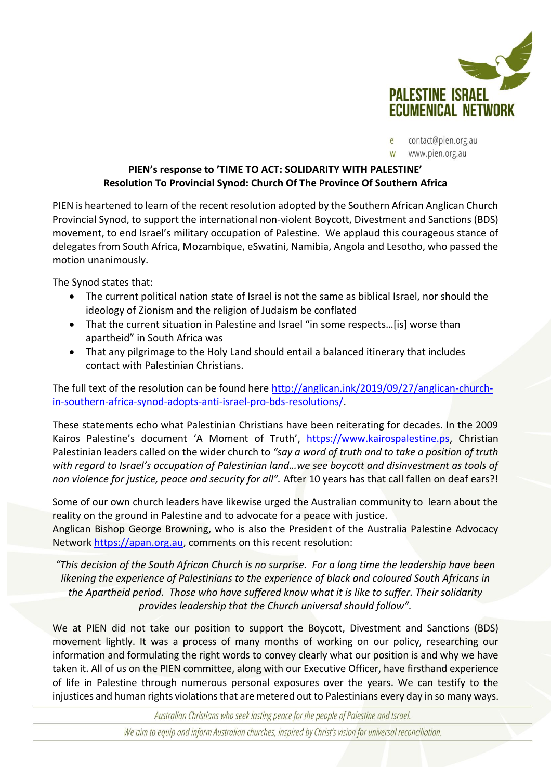

contact@pien.org.au www.pien.org.au

## **PIEN's response to 'TIME TO ACT: SOLIDARITY WITH PALESTINE' Resolution To Provincial Synod: Church Of The Province Of Southern Africa**

PIEN is heartened to learn of the recent resolution adopted by the Southern African Anglican Church Provincial Synod, to support the international non-violent Boycott, Divestment and Sanctions (BDS) movement, to end Israel's military occupation of Palestine. We applaud this courageous stance of delegates from South Africa, Mozambique, eSwatini, Namibia, Angola and Lesotho, who passed the motion unanimously.

The Synod states that:

- The current political nation state of Israel is not the same as biblical Israel, nor should the ideology of Zionism and the religion of Judaism be conflated
- That the current situation in Palestine and Israel "in some respects…[is] worse than apartheid" in South Africa was
- That any pilgrimage to the Holy Land should entail a balanced itinerary that includes contact with Palestinian Christians.

The full text of the resolution can be found here [http://anglican.ink/2019/09/27/anglican-church](http://anglican.ink/2019/09/27/anglican-church-in-southern-africa-synod-adopts-anti-israel-pro-bds-resolutions/)[in-southern-africa-synod-adopts-anti-israel-pro-bds-resolutions/.](http://anglican.ink/2019/09/27/anglican-church-in-southern-africa-synod-adopts-anti-israel-pro-bds-resolutions/)

These statements echo what Palestinian Christians have been reiterating for decades. In the 2009 Kairos Palestine's document 'A Moment of Truth', [https://www.kairospalestine.ps,](https://www.kairospalestine.ps/) Christian Palestinian leaders called on the wider church to *"say a word of truth and to take a position of truth with regard to Israel's occupation of Palestinian land…we see boycott and disinvestment as tools of non violence for justice, peace and security for all".* After 10 years has that call fallen on deaf ears?!

Some of our own church leaders have likewise urged the Australian community to learn about the reality on the ground in Palestine and to advocate for a peace with justice.

Anglican Bishop George Browning, who is also the President of the Australia Palestine Advocacy Network [https://apan.org.au,](https://apan.org.au/) comments on this recent resolution:

*"This decision of the South African Church is no surprise. For a long time the leadership have been likening the experience of Palestinians to the experience of black and coloured South Africans in the Apartheid period. Those who have suffered know what it is like to suffer. Their solidarity provides leadership that the Church universal should follow".*

We at PIEN did not take our position to support the Boycott, Divestment and Sanctions (BDS) movement lightly. It was a process of many months of working on our policy, researching our information and formulating the right words to convey clearly what our position is and why we have taken it. All of us on the PIEN committee, along with our Executive Officer, have firsthand experience of life in Palestine through numerous personal exposures over the years. We can testify to the injustices and human rights violations that are metered out to Palestinians every day in so many ways.